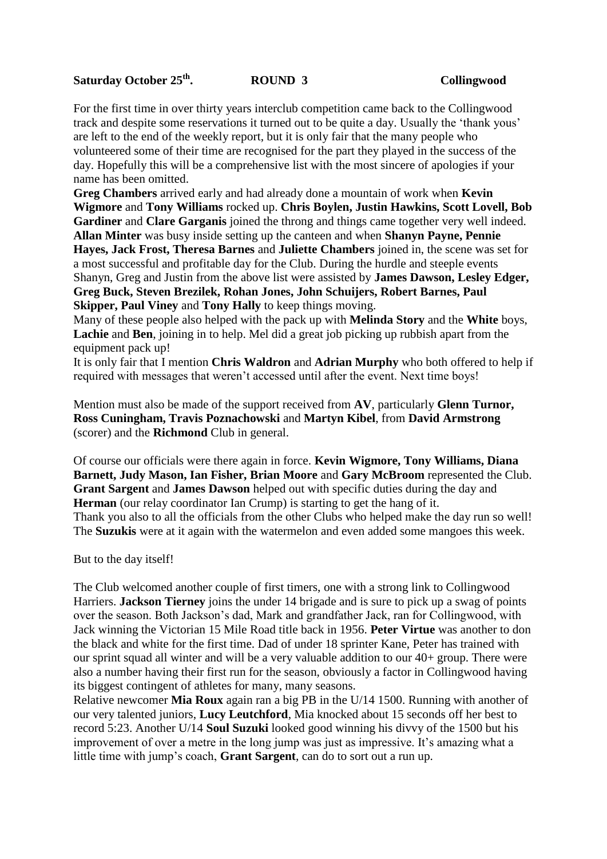## **Saturday October 25th**

For the first time in over thirty years interclub competition came back to the Collingwood track and despite some reservations it turned out to be quite a day. Usually the 'thank yous' are left to the end of the weekly report, but it is only fair that the many people who volunteered some of their time are recognised for the part they played in the success of the day. Hopefully this will be a comprehensive list with the most sincere of apologies if your name has been omitted.

**Greg Chambers** arrived early and had already done a mountain of work when **Kevin Wigmore** and **Tony Williams** rocked up. **Chris Boylen, Justin Hawkins, Scott Lovell, Bob Gardiner** and **Clare Garganis** joined the throng and things came together very well indeed. **Allan Minter** was busy inside setting up the canteen and when **Shanyn Payne, Pennie Hayes, Jack Frost, Theresa Barnes** and **Juliette Chambers** joined in, the scene was set for a most successful and profitable day for the Club. During the hurdle and steeple events Shanyn, Greg and Justin from the above list were assisted by **James Dawson, Lesley Edger, Greg Buck, Steven Brezilek, Rohan Jones, John Schuijers, Robert Barnes, Paul Skipper, Paul Viney** and **Tony Hally** to keep things moving.

Many of these people also helped with the pack up with **Melinda Story** and the **White** boys, **Lachie** and **Ben**, joining in to help. Mel did a great job picking up rubbish apart from the equipment pack up!

It is only fair that I mention **Chris Waldron** and **Adrian Murphy** who both offered to help if required with messages that weren't accessed until after the event. Next time boys!

Mention must also be made of the support received from **AV**, particularly **Glenn Turnor, Ross Cuningham, Travis Poznachowski** and **Martyn Kibel**, from **David Armstrong** (scorer) and the **Richmond** Club in general.

Of course our officials were there again in force. **Kevin Wigmore, Tony Williams, Diana Barnett, Judy Mason, Ian Fisher, Brian Moore** and **Gary McBroom** represented the Club. **Grant Sargent** and **James Dawson** helped out with specific duties during the day and **Herman** (our relay coordinator Ian Crump) is starting to get the hang of it. Thank you also to all the officials from the other Clubs who helped make the day run so well! The **Suzukis** were at it again with the watermelon and even added some mangoes this week.

But to the day itself!

The Club welcomed another couple of first timers, one with a strong link to Collingwood Harriers. **Jackson Tierney** joins the under 14 brigade and is sure to pick up a swag of points over the season. Both Jackson's dad, Mark and grandfather Jack, ran for Collingwood, with Jack winning the Victorian 15 Mile Road title back in 1956. **Peter Virtue** was another to don the black and white for the first time. Dad of under 18 sprinter Kane, Peter has trained with our sprint squad all winter and will be a very valuable addition to our 40+ group. There were also a number having their first run for the season, obviously a factor in Collingwood having its biggest contingent of athletes for many, many seasons.

Relative newcomer **Mia Roux** again ran a big PB in the U/14 1500. Running with another of our very talented juniors, **Lucy Leutchford**, Mia knocked about 15 seconds off her best to record 5:23. Another U/14 **Soul Suzuki** looked good winning his divvy of the 1500 but his improvement of over a metre in the long jump was just as impressive. It's amazing what a little time with jump's coach, **Grant Sargent**, can do to sort out a run up.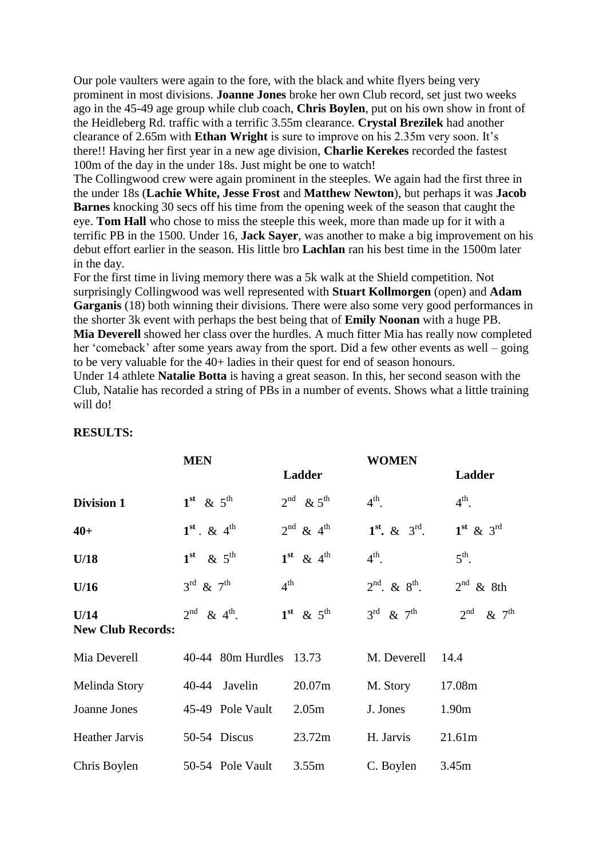Our pole vaulters were again to the fore, with the black and white flyers being very prominent in most divisions. **Joanne Jones** broke her own Club record, set just two weeks ago in the 45-49 age group while club coach, **Chris Boylen**, put on his own show in front of the Heidleberg Rd. traffic with a terrific 3.55m clearance. **Crystal Brezilek** had another clearance of 2.65m with **Ethan Wright** is sure to improve on his 2.35m very soon. It's there!! Having her first year in a new age division, **Charlie Kerekes** recorded the fastest 100m of the day in the under 18s. Just might be one to watch!

The Collingwood crew were again prominent in the steeples. We again had the first three in the under 18s (**Lachie White, Jesse Frost** and **Matthew Newton**), but perhaps it was **Jacob Barnes** knocking 30 secs off his time from the opening week of the season that caught the eye. **Tom Hall** who chose to miss the steeple this week, more than made up for it with a terrific PB in the 1500. Under 16, **Jack Sayer**, was another to make a big improvement on his debut effort earlier in the season. His little bro **Lachlan** ran his best time in the 1500m later in the day.

For the first time in living memory there was a 5k walk at the Shield competition. Not surprisingly Collingwood was well represented with **Stuart Kollmorgen** (open) and **Adam Garganis** (18) both winning their divisions. There were also some very good performances in the shorter 3k event with perhaps the best being that of **Emily Noonan** with a huge PB. **Mia Deverell** showed her class over the hurdles. A much fitter Mia has really now completed her 'comeback' after some years away from the sport. Did a few other events as well – going to be very valuable for the 40+ ladies in their quest for end of season honours.

Under 14 athlete **Natalie Botta** is having a great season. In this, her second season with the Club, Natalie has recorded a string of PBs in a number of events. Shows what a little training will do!

|                                  | <b>MEN</b>                          |                                   | <b>WOMEN</b>                          |                                   |
|----------------------------------|-------------------------------------|-----------------------------------|---------------------------------------|-----------------------------------|
|                                  |                                     | Ladder                            |                                       | Ladder                            |
| <b>Division 1</b>                | $1st \& 5th$                        | $2^{\text{nd}}$ & $5^{\text{th}}$ | $4^{\text{th}}$ .                     | $4^{\text{th}}$ .                 |
| $40+$                            | $1^{st}$ . & $4^{th}$               | $2^{\text{nd}}$ & $4^{\text{th}}$ | $1^{st}$ , & $3^{rd}$ .               | $1st$ & 3 <sup>rd</sup>           |
| U/18                             | $1st \& 5th$                        | $1st \& 4th$                      | $4^{\text{th}}$ .                     | $5^{\text{th}}$ .                 |
| U/16                             | $3^{\text{rd}}$ & $7^{\text{th}}$   | $4^{\text{th}}$                   | $2^{\text{nd}}$ . & $8^{\text{th}}$ . | $2^{nd}$ & 8th                    |
| U/14<br><b>New Club Records:</b> | $2^{\text{nd}}$ & $4^{\text{th}}$ . | $1st \& 5th$                      | $3^{\text{rd}}$ & $7^{\text{th}}$     | $2^{\text{nd}}$ & $7^{\text{th}}$ |
| Mia Deverell                     | 40-44 80m Hurdles 13.73             |                                   | M. Deverell                           | 14.4                              |
| Melinda Story                    | 40-44 Javelin                       | 20.07m                            | M. Story                              | 17.08m                            |
| Joanne Jones                     | 45-49 Pole Vault                    | 2.05 <sub>m</sub>                 | J. Jones                              | 1.90m                             |
| Heather Jarvis                   | 50-54 Discus                        | 23.72m                            | H. Jarvis                             | 21.61m                            |
| Chris Boylen                     | 50-54 Pole Vault                    | 3.55m                             | C. Boylen                             | 3.45m                             |

## **RESULTS:**